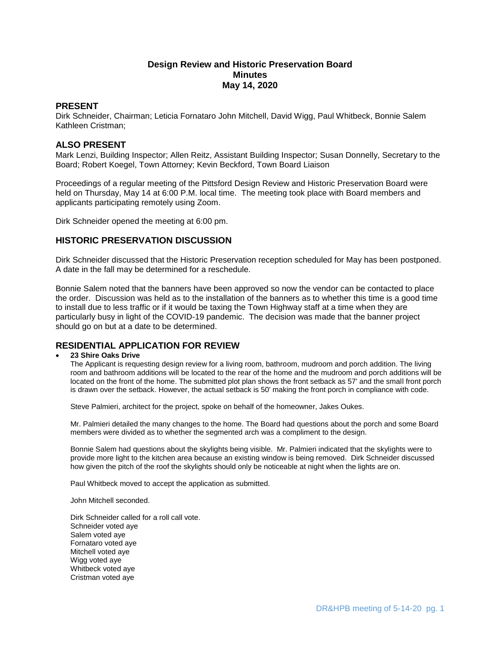# **Design Review and Historic Preservation Board Minutes May 14, 2020**

# **PRESENT**

Dirk Schneider, Chairman; Leticia Fornataro John Mitchell, David Wigg, Paul Whitbeck, Bonnie Salem Kathleen Cristman;

# **ALSO PRESENT**

Mark Lenzi, Building Inspector; Allen Reitz, Assistant Building Inspector; Susan Donnelly, Secretary to the Board; Robert Koegel, Town Attorney; Kevin Beckford, Town Board Liaison

Proceedings of a regular meeting of the Pittsford Design Review and Historic Preservation Board were held on Thursday, May 14 at 6:00 P.M. local time. The meeting took place with Board members and applicants participating remotely using Zoom.

Dirk Schneider opened the meeting at 6:00 pm.

# **HISTORIC PRESERVATION DISCUSSION**

Dirk Schneider discussed that the Historic Preservation reception scheduled for May has been postponed. A date in the fall may be determined for a reschedule.

Bonnie Salem noted that the banners have been approved so now the vendor can be contacted to place the order. Discussion was held as to the installation of the banners as to whether this time is a good time to install due to less traffic or if it would be taxing the Town Highway staff at a time when they are particularly busy in light of the COVID-19 pandemic. The decision was made that the banner project should go on but at a date to be determined.

# **RESIDENTIAL APPLICATION FOR REVIEW**

## **23 Shire Oaks Drive**

The Applicant is requesting design review for a living room, bathroom, mudroom and porch addition. The living room and bathroom additions will be located to the rear of the home and the mudroom and porch additions will be located on the front of the home. The submitted plot plan shows the front setback as 57' and the small front porch is drawn over the setback. However, the actual setback is 50' making the front porch in compliance with code.

Steve Palmieri, architect for the project, spoke on behalf of the homeowner, Jakes Oukes.

Mr. Palmieri detailed the many changes to the home. The Board had questions about the porch and some Board members were divided as to whether the segmented arch was a compliment to the design.

Bonnie Salem had questions about the skylights being visible. Mr. Palmieri indicated that the skylights were to provide more light to the kitchen area because an existing window is being removed. Dirk Schneider discussed how given the pitch of the roof the skylights should only be noticeable at night when the lights are on.

Paul Whitbeck moved to accept the application as submitted.

John Mitchell seconded.

Dirk Schneider called for a roll call vote. Schneider voted aye Salem voted aye Fornataro voted aye Mitchell voted aye Wigg voted aye Whitbeck voted aye Cristman voted aye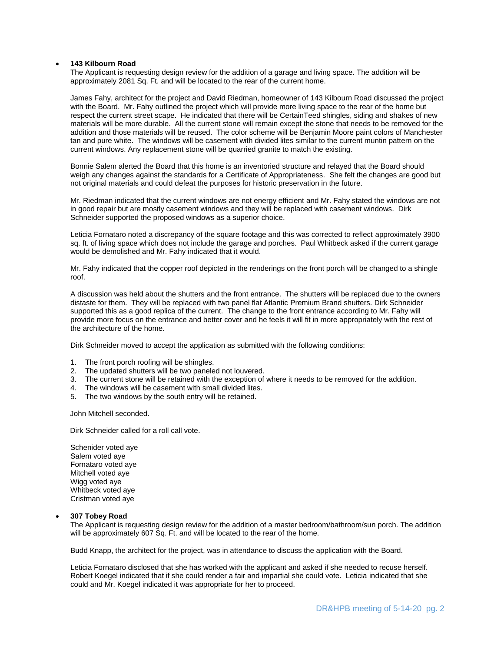## **143 Kilbourn Road**

The Applicant is requesting design review for the addition of a garage and living space. The addition will be approximately 2081 Sq. Ft. and will be located to the rear of the current home.

James Fahy, architect for the project and David Riedman, homeowner of 143 Kilbourn Road discussed the project with the Board. Mr. Fahy outlined the project which will provide more living space to the rear of the home but respect the current street scape. He indicated that there will be CertainTeed shingles, siding and shakes of new materials will be more durable. All the current stone will remain except the stone that needs to be removed for the addition and those materials will be reused. The color scheme will be Benjamin Moore paint colors of Manchester tan and pure white. The windows will be casement with divided lites similar to the current muntin pattern on the current windows. Any replacement stone will be quarried granite to match the existing.

Bonnie Salem alerted the Board that this home is an inventoried structure and relayed that the Board should weigh any changes against the standards for a Certificate of Appropriateness. She felt the changes are good but not original materials and could defeat the purposes for historic preservation in the future.

Mr. Riedman indicated that the current windows are not energy efficient and Mr. Fahy stated the windows are not in good repair but are mostly casement windows and they will be replaced with casement windows. Dirk Schneider supported the proposed windows as a superior choice.

Leticia Fornataro noted a discrepancy of the square footage and this was corrected to reflect approximately 3900 sq. ft. of living space which does not include the garage and porches. Paul Whitbeck asked if the current garage would be demolished and Mr. Fahy indicated that it would.

Mr. Fahy indicated that the copper roof depicted in the renderings on the front porch will be changed to a shingle roof.

A discussion was held about the shutters and the front entrance. The shutters will be replaced due to the owners distaste for them. They will be replaced with two panel flat Atlantic Premium Brand shutters. Dirk Schneider supported this as a good replica of the current. The change to the front entrance according to Mr. Fahy will provide more focus on the entrance and better cover and he feels it will fit in more appropriately with the rest of the architecture of the home.

Dirk Schneider moved to accept the application as submitted with the following conditions:

- 1. The front porch roofing will be shingles.
- 2. The updated shutters will be two paneled not louvered.
- 3. The current stone will be retained with the exception of where it needs to be removed for the addition.
- 4. The windows will be casement with small divided lites.
- 5. The two windows by the south entry will be retained.

John Mitchell seconded.

Dirk Schneider called for a roll call vote.

Schenider voted aye Salem voted aye Fornataro voted aye Mitchell voted aye Wigg voted aye Whitbeck voted aye Cristman voted aye

#### **307 Tobey Road**

The Applicant is requesting design review for the addition of a master bedroom/bathroom/sun porch. The addition will be approximately 607 Sq. Ft. and will be located to the rear of the home.

Budd Knapp, the architect for the project, was in attendance to discuss the application with the Board.

Leticia Fornataro disclosed that she has worked with the applicant and asked if she needed to recuse herself. Robert Koegel indicated that if she could render a fair and impartial she could vote. Leticia indicated that she could and Mr. Koegel indicated it was appropriate for her to proceed.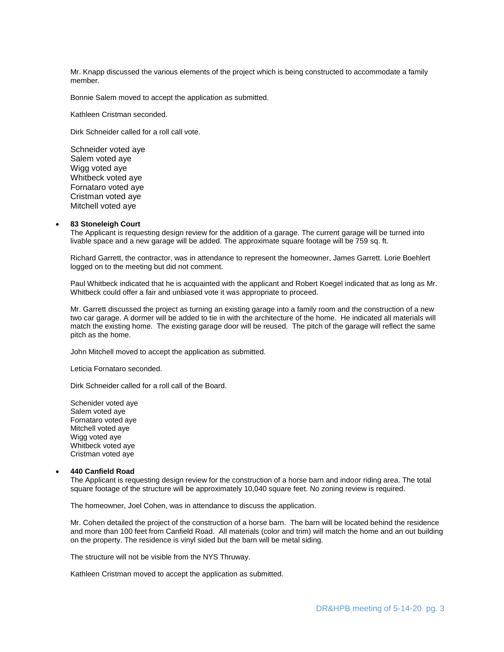Mr. Knapp discussed the various elements of the project which is being constructed to accommodate a family member.

Bonnie Salem moved to accept the application as submitted.

Kathleen Cristman seconded.

Dirk Schneider called for a roll call vote.

Schneider voted aye Salem voted aye Wigg voted aye Whitbeck voted aye Fornataro voted aye Cristman voted aye Mitchell voted aye

### **83 Stoneleigh Court**

The Applicant is requesting design review for the addition of a garage. The current garage will be turned into livable space and a new garage will be added. The approximate square footage will be 759 sq. ft.

Richard Garrett, the contractor, was in attendance to represent the homeowner, James Garrett. Lorie Boehlert logged on to the meeting but did not comment.

Paul Whitbeck indicated that he is acquainted with the applicant and Robert Koegel indicated that as long as Mr. Whitbeck could offer a fair and unbiased vote it was appropriate to proceed.

Mr. Garrett discussed the project as turning an existing garage into a family room and the construction of a new two car garage. A dormer will be added to tie in with the architecture of the home. He indicated all materials will match the existing home. The existing garage door will be reused. The pitch of the garage will reflect the same pitch as the home.

John Mitchell moved to accept the application as submitted.

Leticia Fornataro seconded.

Dirk Schneider called for a roll call of the Board.

Schenider voted aye Salem voted aye Fornataro voted aye Mitchell voted aye Wigg voted ave Whitbeck voted aye Cristman voted aye

#### **440 Canfield Road**

The Applicant is requesting design review for the construction of a horse barn and indoor riding area. The total square footage of the structure will be approximately 10,040 square feet. No zoning review is required.

The homeowner, Joel Cohen, was in attendance to discuss the application.

Mr. Cohen detailed the project of the construction of a horse barn. The barn will be located behind the residence and more than 100 feet from Canfield Road. All materials (color and trim) will match the home and an out building on the property. The residence is vinyl sided but the barn will be metal siding.

The structure will not be visible from the NYS Thruway.

Kathleen Cristman moved to accept the application as submitted.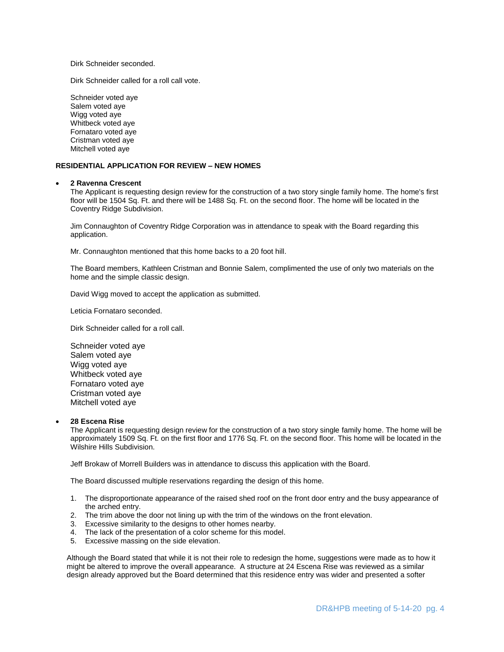Dirk Schneider seconded.

Dirk Schneider called for a roll call vote.

Schneider voted aye Salem voted aye Wigg voted aye Whitbeck voted aye Fornataro voted aye Cristman voted aye Mitchell voted aye

## **RESIDENTIAL APPLICATION FOR REVIEW – NEW HOMES**

#### **2 Ravenna Crescent**

The Applicant is requesting design review for the construction of a two story single family home. The home's first floor will be 1504 Sq. Ft. and there will be 1488 Sq. Ft. on the second floor. The home will be located in the Coventry Ridge Subdivision.

Jim Connaughton of Coventry Ridge Corporation was in attendance to speak with the Board regarding this application.

Mr. Connaughton mentioned that this home backs to a 20 foot hill.

The Board members, Kathleen Cristman and Bonnie Salem, complimented the use of only two materials on the home and the simple classic design.

David Wigg moved to accept the application as submitted.

Leticia Fornataro seconded.

Dirk Schneider called for a roll call.

Schneider voted aye Salem voted aye Wigg voted aye Whitbeck voted aye Fornataro voted aye Cristman voted aye Mitchell voted aye

### **28 Escena Rise**

The Applicant is requesting design review for the construction of a two story single family home. The home will be approximately 1509 Sq. Ft. on the first floor and 1776 Sq. Ft. on the second floor. This home will be located in the Wilshire Hills Subdivision.

Jeff Brokaw of Morrell Builders was in attendance to discuss this application with the Board.

The Board discussed multiple reservations regarding the design of this home.

- 1. The disproportionate appearance of the raised shed roof on the front door entry and the busy appearance of the arched entry.
- 2. The trim above the door not lining up with the trim of the windows on the front elevation.
- 3. Excessive similarity to the designs to other homes nearby.
- 4. The lack of the presentation of a color scheme for this model.
- 5. Excessive massing on the side elevation.

Although the Board stated that while it is not their role to redesign the home, suggestions were made as to how it might be altered to improve the overall appearance. A structure at 24 Escena Rise was reviewed as a similar design already approved but the Board determined that this residence entry was wider and presented a softer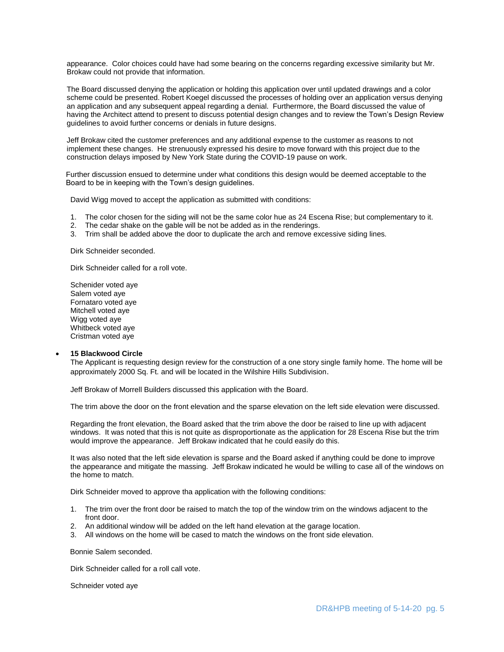appearance. Color choices could have had some bearing on the concerns regarding excessive similarity but Mr. Brokaw could not provide that information.

The Board discussed denying the application or holding this application over until updated drawings and a color scheme could be presented. Robert Koegel discussed the processes of holding over an application versus denying an application and any subsequent appeal regarding a denial. Furthermore, the Board discussed the value of having the Architect attend to present to discuss potential design changes and to review the Town's Design Review guidelines to avoid further concerns or denials in future designs.

Jeff Brokaw cited the customer preferences and any additional expense to the customer as reasons to not implement these changes. He strenuously expressed his desire to move forward with this project due to the construction delays imposed by New York State during the COVID-19 pause on work.

 Further discussion ensued to determine under what conditions this design would be deemed acceptable to the Board to be in keeping with the Town's design guidelines.

David Wigg moved to accept the application as submitted with conditions:

- 1. The color chosen for the siding will not be the same color hue as 24 Escena Rise; but complementary to it.
- The cedar shake on the gable will be not be added as in the renderings.
- 3. Trim shall be added above the door to duplicate the arch and remove excessive siding lines.

Dirk Schneider seconded.

Dirk Schneider called for a roll vote.

Schenider voted aye Salem voted aye Fornataro voted aye Mitchell voted aye Wigg voted aye Whitbeck voted aye Cristman voted aye

#### **15 Blackwood Circle**

The Applicant is requesting design review for the construction of a one story single family home. The home will be approximately 2000 Sq. Ft. and will be located in the Wilshire Hills Subdivision.

Jeff Brokaw of Morrell Builders discussed this application with the Board.

The trim above the door on the front elevation and the sparse elevation on the left side elevation were discussed.

Regarding the front elevation, the Board asked that the trim above the door be raised to line up with adjacent windows. It was noted that this is not quite as disproportionate as the application for 28 Escena Rise but the trim would improve the appearance. Jeff Brokaw indicated that he could easily do this.

It was also noted that the left side elevation is sparse and the Board asked if anything could be done to improve the appearance and mitigate the massing. Jeff Brokaw indicated he would be willing to case all of the windows on the home to match.

Dirk Schneider moved to approve tha application with the following conditions:

- 1. The trim over the front door be raised to match the top of the window trim on the windows adjacent to the front door.
- 2. An additional window will be added on the left hand elevation at the garage location.
- 3. All windows on the home will be cased to match the windows on the front side elevation.

Bonnie Salem seconded.

Dirk Schneider called for a roll call vote.

Schneider voted aye